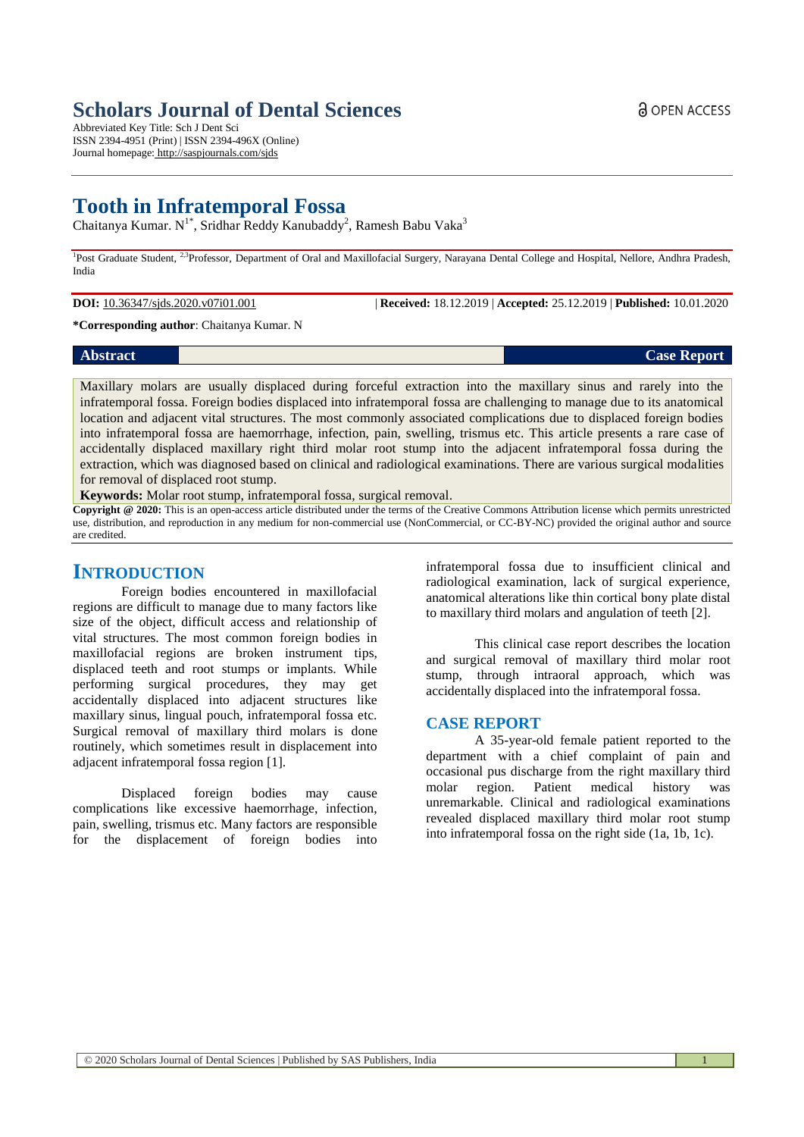# *Case Report* **Case Report Case Report Case Report Case Report Case Report**

Maxillary molars are usually displaced during forceful extraction into the maxillary sinus and rarely into the infratemporal fossa. Foreign bodies displaced into infratemporal fossa are challenging to manage due to its anatomical location and adjacent vital structures. The most commonly associated complications due to displaced foreign bodies into infratemporal fossa are haemorrhage, infection, pain, swelling, trismus etc. This article presents a rare case of accidentally displaced maxillary right third molar root stump into the adjacent infratemporal fossa during the extraction, which was diagnosed based on clinical and radiological examinations. There are various surgical modalities for removal of displaced root stump.

**Keywords:** Molar root stump, infratemporal fossa, surgical removal.

**Copyright @ 2020:** This is an open-access article distributed under the terms of the Creative Commons Attribution license which permits unrestricted use, distribution, and reproduction in any medium for non-commercial use (NonCommercial, or CC-BY-NC) provided the original author and source are credited.

### **INTRODUCTION**

Foreign bodies encountered in maxillofacial regions are difficult to manage due to many factors like size of the object, difficult access and relationship of vital structures. The most common foreign bodies in maxillofacial regions are broken instrument tips, displaced teeth and root stumps or implants. While performing surgical procedures, they may get accidentally displaced into adjacent structures like maxillary sinus, lingual pouch, infratemporal fossa etc. Surgical removal of maxillary third molars is done routinely, which sometimes result in displacement into adjacent infratemporal fossa region [1].

Displaced foreign bodies may cause complications like excessive haemorrhage, infection, pain, swelling, trismus etc. Many factors are responsible for the displacement of foreign bodies into

infratemporal fossa due to insufficient clinical and radiological examination, lack of surgical experience, anatomical alterations like thin cortical bony plate distal to maxillary third molars and angulation of teeth [2].

This clinical case report describes the location and surgical removal of maxillary third molar root stump, through intraoral approach, which was accidentally displaced into the infratemporal fossa.

### **CASE REPORT**

A 35-year-old female patient reported to the department with a chief complaint of pain and occasional pus discharge from the right maxillary third molar region. Patient medical history was unremarkable. Clinical and radiological examinations revealed displaced maxillary third molar root stump into infratemporal fossa on the right side (1a, 1b, 1c).

### **Scholars Journal of Dental Sciences**

Abbreviated Key Title: Sch J Dent Sci ISSN 2394-4951 (Print) | ISSN 2394-496X (Online) Journal homepage: <http://saspjournals.com/sjds>

## **Tooth in Infratemporal Fossa**

Chaitanya Kumar. N<sup>1\*</sup>, Sridhar Reddy Kanubaddy<sup>2</sup>, Ramesh Babu Vaka<sup>3</sup>

<sup>1</sup>Post Graduate Student, <sup>2,3</sup>Professor, Department of Oral and Maxillofacial Surgery, Narayana Dental College and Hospital, Nellore, Andhra Pradesh, India

**\*Corresponding author**: Chaitanya Kumar. N

**DOI:** 10.36347/sjds.2020.v07i01.001 | **Received:** 18.12.2019 | **Accepted:** 25.12.2019 | **Published:** 10.01.2020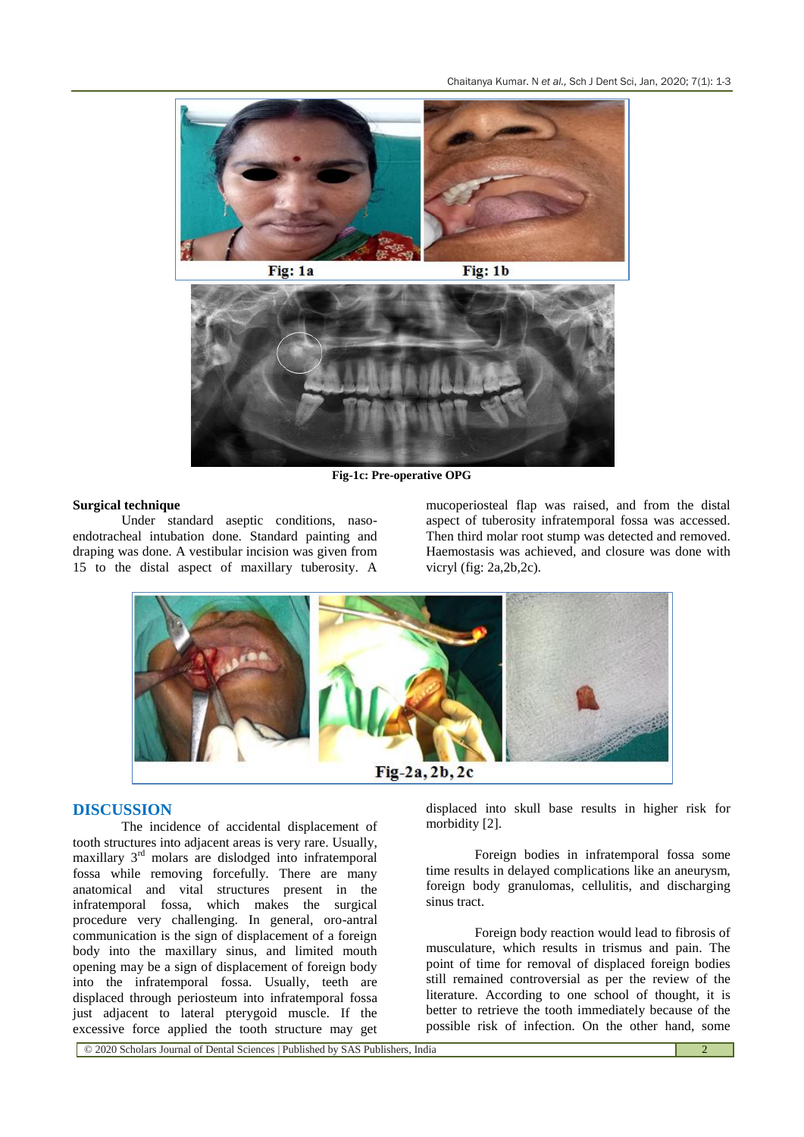

**Fig-1c: Pre-operative OPG**

#### **Surgical technique**

Under standard aseptic conditions, nasoendotracheal intubation done. Standard painting and draping was done. A vestibular incision was given from 15 to the distal aspect of maxillary tuberosity. A

mucoperiosteal flap was raised, and from the distal aspect of tuberosity infratemporal fossa was accessed. Then third molar root stump was detected and removed. Haemostasis was achieved, and closure was done with vicryl (fig: 2a,2b,2c).



### **DISCUSSION**

The incidence of accidental displacement of tooth structures into adjacent areas is very rare. Usually, maxillary 3rd molars are dislodged into infratemporal fossa while removing forcefully. There are many anatomical and vital structures present in the infratemporal fossa, which makes the surgical procedure very challenging. In general, oro-antral communication is the sign of displacement of a foreign body into the maxillary sinus, and limited mouth opening may be a sign of displacement of foreign body into the infratemporal fossa. Usually, teeth are displaced through periosteum into infratemporal fossa just adjacent to lateral pterygoid muscle. If the excessive force applied the tooth structure may get

displaced into skull base results in higher risk for morbidity [2].

Foreign bodies in infratemporal fossa some time results in delayed complications like an aneurysm, foreign body granulomas, cellulitis, and discharging sinus tract.

Foreign body reaction would lead to fibrosis of musculature, which results in trismus and pain. The point of time for removal of displaced foreign bodies still remained controversial as per the review of the literature. According to one school of thought, it is better to retrieve the tooth immediately because of the possible risk of infection. On the other hand, some

© 2020 Scholars Journal of Dental Sciences | Published by SAS Publishers, India 2